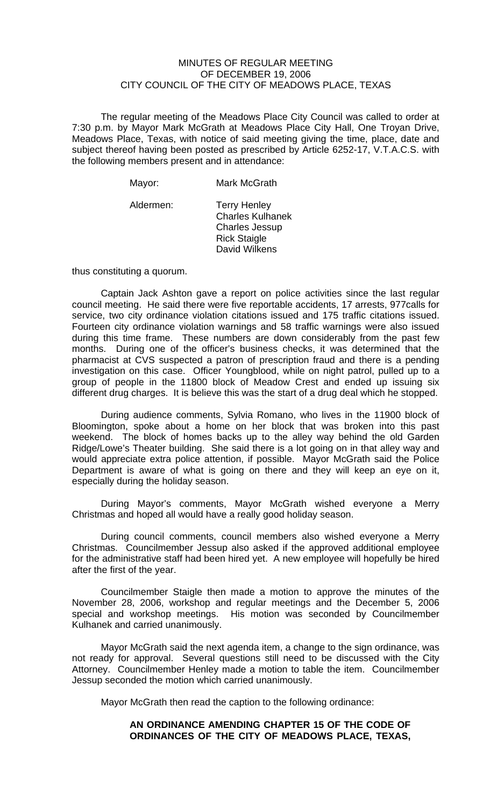## MINUTES OF REGULAR MEETING OF DECEMBER 19, 2006 CITY COUNCIL OF THE CITY OF MEADOWS PLACE, TEXAS

The regular meeting of the Meadows Place City Council was called to order at 7:30 p.m. by Mayor Mark McGrath at Meadows Place City Hall, One Troyan Drive, Meadows Place, Texas, with notice of said meeting giving the time, place, date and subject thereof having been posted as prescribed by Article 6252-17, V.T.A.C.S. with the following members present and in attendance:

| Mayor:    | Mark McGrath                                                                                                    |
|-----------|-----------------------------------------------------------------------------------------------------------------|
| Aldermen: | <b>Terry Henley</b><br><b>Charles Kulhanek</b><br><b>Charles Jessup</b><br><b>Rick Staigle</b><br>David Wilkens |

thus constituting a quorum.

Captain Jack Ashton gave a report on police activities since the last regular council meeting. He said there were five reportable accidents, 17 arrests, 977calls for service, two city ordinance violation citations issued and 175 traffic citations issued. Fourteen city ordinance violation warnings and 58 traffic warnings were also issued during this time frame. These numbers are down considerably from the past few months. During one of the officer's business checks, it was determined that the pharmacist at CVS suspected a patron of prescription fraud and there is a pending investigation on this case. Officer Youngblood, while on night patrol, pulled up to a group of people in the 11800 block of Meadow Crest and ended up issuing six different drug charges. It is believe this was the start of a drug deal which he stopped.

During audience comments, Sylvia Romano, who lives in the 11900 block of Bloomington, spoke about a home on her block that was broken into this past weekend. The block of homes backs up to the alley way behind the old Garden Ridge/Lowe's Theater building. She said there is a lot going on in that alley way and would appreciate extra police attention, if possible. Mayor McGrath said the Police Department is aware of what is going on there and they will keep an eye on it, especially during the holiday season.

During Mayor's comments, Mayor McGrath wished everyone a Merry Christmas and hoped all would have a really good holiday season.

During council comments, council members also wished everyone a Merry Christmas. Councilmember Jessup also asked if the approved additional employee for the administrative staff had been hired yet. A new employee will hopefully be hired after the first of the year.

Councilmember Staigle then made a motion to approve the minutes of the November 28, 2006, workshop and regular meetings and the December 5, 2006 special and workshop meetings. His motion was seconded by Councilmember Kulhanek and carried unanimously.

Mayor McGrath said the next agenda item, a change to the sign ordinance, was not ready for approval. Several questions still need to be discussed with the City Attorney. Councilmember Henley made a motion to table the item. Councilmember Jessup seconded the motion which carried unanimously.

Mayor McGrath then read the caption to the following ordinance:

## **AN ORDINANCE AMENDING CHAPTER 15 OF THE CODE OF ORDINANCES OF THE CITY OF MEADOWS PLACE, TEXAS,**